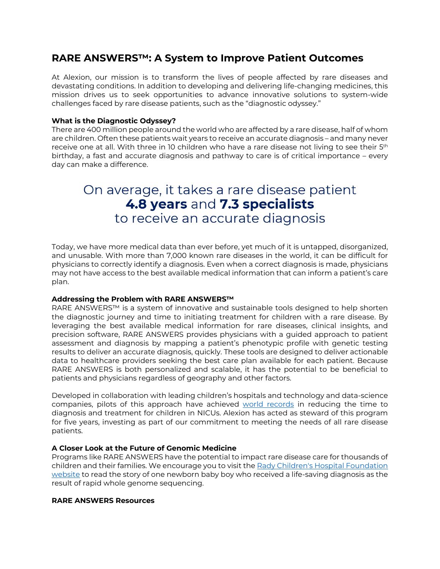## **RARE ANSWERS™: A System to Improve Patient Outcomes**

At Alexion, our mission is to transform the lives of people affected by rare diseases and devastating conditions. In addition to developing and delivering life-changing medicines, this mission drives us to seek opportunities to advance innovative solutions to system-wide challenges faced by rare disease patients, such as the "diagnostic odyssey."

### **What is the Diagnostic Odyssey?**

There are 400 million people around the world who are affected by a rare disease, half of whom are children. Often these patients wait years to receive an accurate diagnosis – and many never receive one at all. With three in 10 children who have a rare disease not living to see their 5<sup>th</sup> birthday, a fast and accurate diagnosis and pathway to care is of critical importance – every day can make a difference.

# On average, it takes a rare disease patient 4.8 years and 7.3 specialists to receive an accurate diagnosis

Today, we have more medical data than ever before, yet much of it is untapped, disorganized, and unusable. With more than 7,000 known rare diseases in the world, it can be difficult for physicians to correctly identify a diagnosis. Even when a correct diagnosis is made, physicians may not have access to the best available medical information that can inform a patient's care plan.

### **Addressing the Problem with RARE ANSWERS™**

RARE ANSWERS™ is a system of innovative and sustainable tools designed to help shorten the diagnostic journey and time to initiating treatment for children with a rare disease. By leveraging the best available medical information for rare diseases, clinical insights, and precision software, RARE ANSWERS provides physicians with a guided approach to patient assessment and diagnosis by mapping a patient's phenotypic profile with genetic testing results to deliver an accurate diagnosis, quickly. These tools are designed to deliver actionable data to healthcare providers seeking the best care plan available for each patient. Because RARE ANSWERS is both personalized and scalable, it has the potential to be beneficial to patients and physicians regardless of geography and other factors.

Developed in collaboration with leading children's hospitals and technology and data-science companies, pilots of this approach have achieved [world records](https://www.rchsd.org/about-us/newsroom/press-releases/new-guinness-world-records-title-set-for-fastest-genetic-diagnosis/) in reducing the time to diagnosis and treatment for children in NICUs. Alexion has acted as steward of this program for five years, investing as part of our commitment to meeting the needs of all rare disease patients.

### **A Closer Look at the Future of Genomic Medicine**

Programs like RARE ANSWERS have the potential to impact rare disease care for thousands of children and their families. We encourage you to visit the Rady Children's Hospital Foundation [website](https://www.radyfoundation.org/maverick?) to read the story of one newborn baby boy who received a life-saving diagnosis as the result of rapid whole genome sequencing.

#### **RARE ANSWERS Resources**